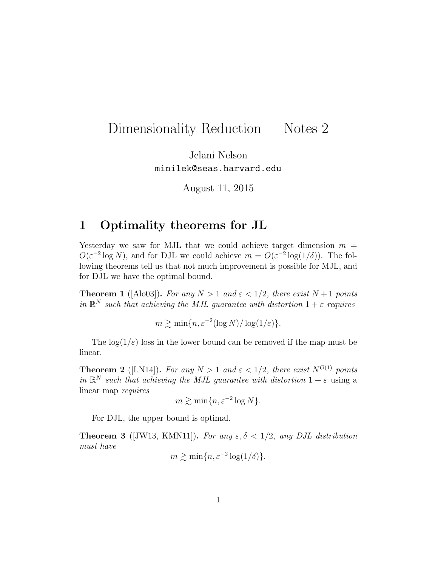# Dimensionality Reduction — Notes 2

Jelani Nelson minilek@seas.harvard.edu

August 11, 2015

### 1 Optimality theorems for JL

Yesterday we saw for MJL that we could achieve target dimension  $m =$  $O(\varepsilon^{-2} \log N)$ , and for DJL we could achieve  $m = O(\varepsilon^{-2} \log(1/\delta))$ . The following theorems tell us that not much improvement is possible for MJL, and for DJL we have the optimal bound.

**Theorem 1** ([Alo03]). For any  $N > 1$  and  $\varepsilon < 1/2$ , there exist  $N+1$  points in  $\mathbb{R}^N$  such that achieving the MJL guarantee with distortion  $1+\varepsilon$  requires

 $m \gtrsim \min\{n, \varepsilon^{-2} (\log N)/\log(1/\varepsilon)\}.$ 

The  $\log(1/\varepsilon)$  loss in the lower bound can be removed if the map must be linear.

**Theorem 2** ([LN14]). For any  $N > 1$  and  $\varepsilon < 1/2$ , there exist  $N^{O(1)}$  points in  $\mathbb{R}^N$  such that achieving the MJL guarantee with distortion  $1+\varepsilon$  using a linear map requires

$$
m \gtrsim \min\{n, \varepsilon^{-2} \log N\}.
$$

For DJL, the upper bound is optimal.

**Theorem 3** ([JW13, KMN11]). For any  $\varepsilon, \delta < 1/2$ , any DJL distribution must have

$$
m \gtrsim \min\{n, \varepsilon^{-2} \log(1/\delta)\}.
$$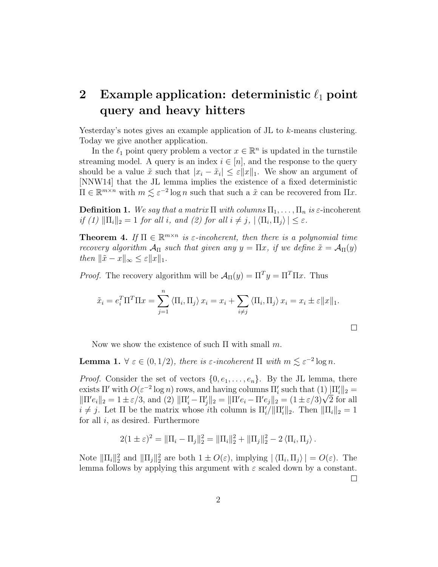## 2 Example application: deterministic  $\ell_1$  point query and heavy hitters

Yesterday's notes gives an example application of JL to k-means clustering. Today we give another application.

In the  $\ell_1$  point query problem a vector  $x \in \mathbb{R}^n$  is updated in the turnstile streaming model. A query is an index  $i \in [n]$ , and the response to the query should be a value  $\tilde{x}$  such that  $|x_i - \tilde{x}_i| \leq \varepsilon ||x||_1$ . We show an argument of [NNW14] that the JL lemma implies the existence of a fixed deterministic  $\Pi \in \mathbb{R}^{m \times n}$  with  $m \lesssim \varepsilon^{-2} \log n$  such that such a  $\tilde{x}$  can be recovered from  $\Pi x$ .

**Definition 1.** We say that a matrix  $\Pi$  with columns  $\Pi_1, \ldots, \Pi_n$  is  $\varepsilon$ -incoherent if (1)  $\|\Pi_i\|_2 = 1$  for all i, and (2) for all  $i \neq j$ ,  $|\langle \Pi_i, \Pi_j \rangle| \leq \varepsilon$ .

**Theorem 4.** If  $\Pi \in \mathbb{R}^{m \times n}$  is  $\varepsilon$ -incoherent, then there is a polynomial time recovery algorithm  $\mathcal{A}_{\Pi}$  such that given any  $y = \Pi x$ , if we define  $\tilde{x} = \mathcal{A}_{\Pi}(y)$ then  $\|\tilde{x} - x\|_{\infty} \leq \varepsilon ||x||_1$ .

*Proof.* The recovery algorithm will be  $\mathcal{A}_{\Pi}(y) = \Pi^{T}y = \Pi^{T}\Pi x$ . Thus

$$
\tilde{x}_i = e_i^T \Pi^T \Pi x = \sum_{j=1}^n \langle \Pi_i, \Pi_j \rangle x_i = x_i + \sum_{i \neq j} \langle \Pi_i, \Pi_j \rangle x_i = x_i \pm \varepsilon ||x||_1.
$$

$$
\Box
$$

Now we show the existence of such  $\Pi$  with small m.

**Lemma 1.**  $\forall \varepsilon \in (0, 1/2)$ , there is  $\varepsilon$ -incoherent  $\Pi$  with  $m \lesssim \varepsilon^{-2} \log n$ .

*Proof.* Consider the set of vectors  $\{0, e_1, \ldots, e_n\}$ . By the JL lemma, there exists  $\Pi'$  with  $O(\varepsilon^{-2} \log n)$  rows, and having columns  $\Pi'_i$  such that  $(1) \|\Pi'_i\|_2 =$ exists IT with  $O(\varepsilon^{-2} \log n)$  rows, and naving columns  $\Pi_i$  such that (1)  $\Pi_i||_2 = ||\Pi' e_i||_2 = 1 \pm \varepsilon/3$ , and (2)  $\|\Pi'_i - \Pi'_j\|_2 = \|\Pi' e_i - \Pi' e_j\|_2 = (1 \pm \varepsilon/3)\sqrt{2}$  for all  $i \neq j$ . Let  $\Pi$  be the matrix whose ith column is  $\Pi'_{i}/\|\Pi'_{i}\|_{2}$ . Then  $\|\Pi_{i}\|_{2} = 1$ for all  $i$ , as desired. Furthermore

$$
2(1 \pm \varepsilon)^2 = \|\Pi_i - \Pi_j\|_2^2 = \|\Pi_i\|_2^2 + \|\Pi_j\|_2^2 - 2 \langle \Pi_i, \Pi_j \rangle.
$$

Note  $\|\Pi_i\|_2^2$  and  $\|\Pi_j\|_2^2$  are both  $1 \pm O(\varepsilon)$ , implying  $|\langle \Pi_i, \Pi_j \rangle| = O(\varepsilon)$ . The lemma follows by applying this argument with  $\varepsilon$  scaled down by a constant.

 $\Box$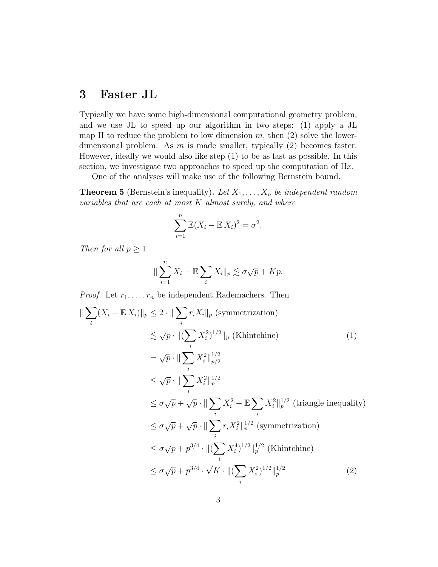### 3 Faster JL

Typically we have some high-dimensional computational geometry problem, and we use JL to speed up our algorithm in two steps: (1) apply a JL map  $\Pi$  to reduce the problem to low dimension m, then (2) solve the lowerdimensional problem. As  $m$  is made smaller, typically (2) becomes faster. However, ideally we would also like step (1) to be as fast as possible. In this section, we investigate two approaches to speed up the computation of  $\Pi x$ .

One of the analyses will make use of the following Bernstein bound.

**Theorem 5** (Bernstein's inequality). Let  $X_1, \ldots, X_n$  be independent random variables that are each at most  $K$  almost surely, and where

$$
\sum_{i=1}^{n} \mathbb{E}(X_i - \mathbb{E} X_i)^2 = \sigma^2.
$$

Then for all  $p \geq 1$ 

$$
\|\sum_{i=1}^n X_i - \mathbb{E}\sum_i X_i\|_p \lesssim \sigma\sqrt{p} + Kp.
$$

*Proof.* Let  $r_1, \ldots, r_n$  be independent Rademachers. Then

$$
\|\sum_{i}(X_{i}-\mathbb{E} X_{i})\|_{p} \leq 2 \cdot \|\sum_{i} r_{i}X_{i}\|_{p} \text{ (symmetrization)}
$$
  
\n
$$
\lesssim \sqrt{p} \cdot \|(\sum_{i} X_{i}^{2})^{1/2}\|_{p} \text{ (Khintchine)}
$$
\n
$$
= \sqrt{p} \cdot \|\sum_{i} X_{i}^{2}\|_{p/2}^{1/2}
$$
  
\n
$$
\leq \sqrt{p} \cdot \|\sum_{i} X_{i}^{2}\|_{p}^{1/2}
$$
  
\n
$$
\leq \sigma\sqrt{p} + \sqrt{p} \cdot \|\sum_{i} X_{i}^{2} - \mathbb{E} \sum_{i} X_{i}^{2}\|_{p}^{1/2} \text{ (triangle inequality)}
$$
  
\n
$$
\leq \sigma\sqrt{p} + \sqrt{p} \cdot \|\sum_{i} r_{i}X_{i}^{2}\|_{p}^{1/2} \text{ (symmetrization)}
$$
  
\n
$$
\leq \sigma\sqrt{p} + p^{3/4} \cdot \|(\sum_{i} X_{i}^{4})^{1/2}\|_{p}^{1/2} \text{ (Khintchine)}
$$
  
\n
$$
\leq \sigma\sqrt{p} + p^{3/4} \cdot \sqrt{K} \cdot \|(\sum_{i} X_{i}^{2})^{1/2}\|_{p}^{1/2}
$$
\n(2)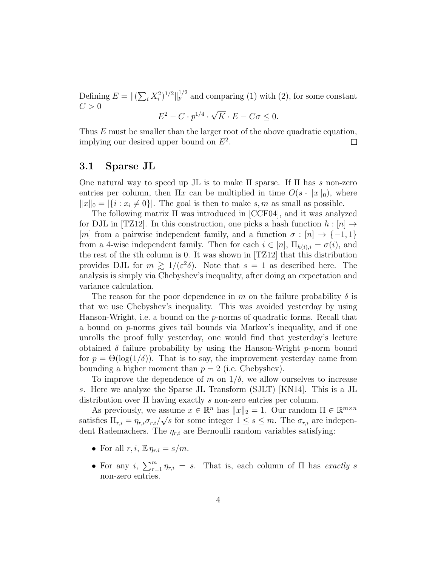Defining  $E = ||(\sum_i X_i^2)^{1/2}||_p^{1/2}$  and comparing (1) with (2), for some constant  $C>0$ √

$$
E^2 - C \cdot p^{1/4} \cdot \sqrt{K} \cdot E - C\sigma \le 0.
$$

Thus E must be smaller than the larger root of the above quadratic equation, implying our desired upper bound on  $E^2$ .  $\Box$ 

#### 3.1 Sparse JL

One natural way to speed up JL is to make  $\Pi$  sparse. If  $\Pi$  has s non-zero entries per column, then  $\Pi x$  can be multiplied in time  $O(s \cdot ||x||_0)$ , where  $||x||_0 = |\{i : x_i \neq 0\}|.$  The goal is then to make s, m as small as possible.

The following matrix Π was introduced in [CCF04], and it was analyzed for DJL in [TZ12]. In this construction, one picks a hash function  $h : [n] \rightarrow$ [m] from a pairwise independent family, and a function  $\sigma : [n] \rightarrow \{-1, 1\}$ from a 4-wise independent family. Then for each  $i \in [n]$ ,  $\Pi_{h(i),i} = \sigma(i)$ , and the rest of the ith column is 0. It was shown in [TZ12] that this distribution provides DJL for  $m \geq 1/(\varepsilon^2 \delta)$ . Note that  $s = 1$  as described here. The analysis is simply via Chebyshev's inequality, after doing an expectation and variance calculation.

The reason for the poor dependence in m on the failure probability  $\delta$  is that we use Chebyshev's inequality. This was avoided yesterday by using Hanson-Wright, i.e. a bound on the  $p$ -norms of quadratic forms. Recall that a bound on p-norms gives tail bounds via Markov's inequality, and if one unrolls the proof fully yesterday, one would find that yesterday's lecture obtained  $\delta$  failure probability by using the Hanson-Wright p-norm bound for  $p = \Theta(\log(1/\delta))$ . That is to say, the improvement yesterday came from bounding a higher moment than  $p = 2$  (i.e. Chebyshev).

To improve the dependence of m on  $1/\delta$ , we allow ourselves to increase s. Here we analyze the Sparse JL Transform (SJLT) [KN14]. This is a JL distribution over Π having exactly s non-zero entries per column.

As previously, we assume  $x \in \mathbb{R}^n$  has  $||x||_2 = 1$ . Our random  $\Pi \in \mathbb{R}^{m \times n}$ satisfies  $\Pi_{r,i} = \eta_{r,i} \sigma_{r,i}/\sqrt{s}$  for some integer  $1 \leq s \leq m$ . The  $\sigma_{r,i}$  are independent Rademachers. The  $\eta_{r,i}$  are Bernoulli random variables satisfying:

- For all  $r, i, \mathbb{E} \eta_{r,i} = s/m$ .
- For any i,  $\sum_{r=1}^{m} \eta_{r,i} = s$ . That is, each column of  $\Pi$  has exactly s non-zero entries.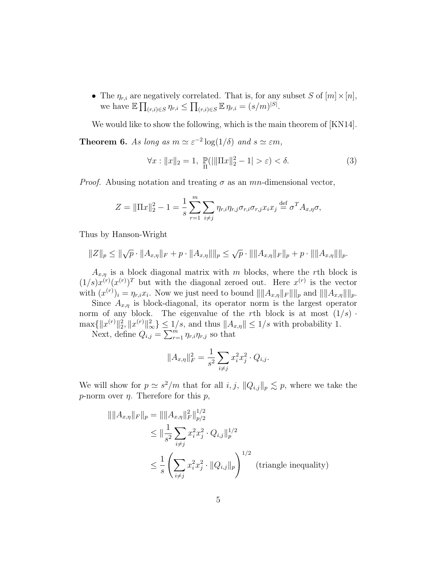• The  $\eta_{r,i}$  are negatively correlated. That is, for any subset S of  $[m] \times [n]$ , we have  $\mathbb{E} \prod_{(r,i)\in S} \eta_{r,i} \leq \prod_{(r,i)\in S} \mathbb{E} \eta_{r,i} = (s/m)^{|S|}.$ 

We would like to show the following, which is the main theorem of [KN14].

**Theorem 6.** As long as  $m \simeq \varepsilon^{-2} \log(1/\delta)$  and  $s \simeq \varepsilon m$ ,

$$
\forall x : \|x\|_2 = 1, \ \mathbb{P}(|\|\Pi x\|_2^2 - 1| > \varepsilon) < \delta. \tag{3}
$$

*Proof.* Abusing notation and treating  $\sigma$  as an mn-dimensional vector,

$$
Z = \|\Pi x\|_2^2 - 1 = \frac{1}{s} \sum_{r=1}^m \sum_{i \neq j} \eta_{r,i} \eta_{r,j} \sigma_{r,i} \sigma_{r,j} x_i x_j \stackrel{\text{def}}{=} \sigma^T A_{x,\eta} \sigma,
$$

Thus by Hanson-Wright

$$
||Z||_p \le ||\sqrt{p} \cdot ||A_{x,\eta}||_F + p \cdot ||A_{x,\eta}|| ||_p \le \sqrt{p} \cdot ||||A_{x,\eta}||_F||_p + p \cdot ||||A_{x,\eta}||||_p.
$$

 $A_{x,n}$  is a block diagonal matrix with m blocks, where the rth block is  $(1/s)x^{(r)}(x^{(r)})^T$  but with the diagonal zeroed out. Here  $x^{(r)}$  is the vector with  $(x^{(r)})_i = \eta_{r,i} x_i$ . Now we just need to bound  $\|\|A_{x,\eta}\|_F \|\|_p$  and  $\|\|A_{x,\eta}\|\|_p$ .

Since  $A_{x,\eta}$  is block-diagonal, its operator norm is the largest operator norm of any block. The eigenvalue of the rth block is at most  $(1/s)$ .  $\max\{\|x^{(r)}\|_2^2, \|x^{(r)}\|_{\infty}^2\} \le 1/s$ , and thus  $\|A_{x,\eta}\| \le 1/s$  with probability 1.

Next, define  $Q_{i,j} = \sum_{r=1}^{m} \eta_{r,i} \eta_{r,j}$  so that

$$
||A_{x,\eta}||_F^2 = \frac{1}{s^2} \sum_{i \neq j} x_i^2 x_j^2 \cdot Q_{i,j}.
$$

We will show for  $p \simeq s^2/m$  that for all  $i, j$ ,  $||Q_{i,j}||_p \lesssim p$ , where we take the p-norm over  $\eta$ . Therefore for this  $p$ ,

$$
\begin{aligned} \|\|A_{x,\eta}\|_F\|_p &= \|\|A_{x,\eta}\|_F^2\|_{p/2}^{1/2} \\ &\le \|\frac{1}{s^2} \sum_{i \neq j} x_i^2 x_j^2 \cdot Q_{i,j}\|_p^{1/2} \\ &\le \frac{1}{s} \left(\sum_{i \neq j} x_i^2 x_j^2 \cdot \|Q_{i,j}\|_p\right)^{1/2} \text{ (triangle inequality)} \end{aligned}
$$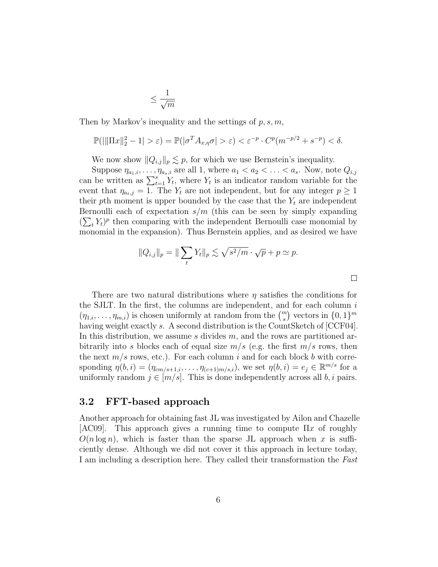$$
\leq \frac{1}{\sqrt{m}}
$$

Then by Markov's inequality and the settings of  $p, s, m$ ,

$$
\mathbb{P}(|\|\Pi x\|_2^2 - 1| > \varepsilon) = \mathbb{P}(|\sigma^T A_{x,\eta}\sigma| > \varepsilon) < \varepsilon^{-p} \cdot C^p(m^{-p/2} + s^{-p}) < \delta.
$$

We now show  $||Q_{i,j}||_p \lesssim p$ , for which we use Bernstein's inequality.

Suppose  $\eta_{a_1,i},\ldots,\eta_{a_s,i}$  are all 1, where  $a_1 < a_2 < \ldots < a_s$ . Now, note  $Q_{i,j}$ can be written as  $\sum_{t=1}^{s} Y_t$ , where  $Y_t$  is an indicator random variable for the event that  $\eta_{a_t,j} = 1$ . The  $Y_t$  are not independent, but for any integer  $p \geq 1$ their pth moment is upper bounded by the case that the  $Y_t$  are independent Bernoulli each of expectation  $s/m$  (this can be seen by simply expanding  $(\sum_t Y_t)^p$  then comparing with the independent Bernoulli case monomial by monomial in the expansion). Thus Bernstein applies, and as desired we have

$$
||Q_{i,j}||_p = ||\sum_t Y_t||_p \lesssim \sqrt{s^2/m} \cdot \sqrt{p} + p \simeq p.
$$

 $\Box$ 

There are two natural distributions where  $\eta$  satisfies the conditions for the SJLT. In the first, the columns are independent, and for each column  $i$  $(\eta_{1,i},\ldots,\eta_{m,i})$  is chosen uniformly at random from the  $\binom{m}{s}$  vectors in  $\{0,1\}^m$ having weight exactly s. A second distribution is the CountSketch of [CCF04]. In this distribution, we assume  $s$  divides  $m$ , and the rows are partitioned arbitrarily into s blocks each of equal size  $m/s$  (e.g. the first  $m/s$  rows, then the next  $m/s$  rows, etc.). For each column i and for each block b with corresponding  $\eta(b, i) = (\eta_{cm/s+1,i}, \dots, \eta_{(c+1)m/s,i}),$  we set  $\eta(b, i) = e_j \in \mathbb{R}^{m/s}$  for a uniformly random  $j \in [m/s]$ . This is done independently across all  $b, i$  pairs.

#### 3.2 FFT-based approach

Another approach for obtaining fast JL was investigated by Ailon and Chazelle [AC09]. This approach gives a running time to compute  $\Pi x$  of roughly  $O(n \log n)$ , which is faster than the sparse JL approach when x is sufficiently dense. Although we did not cover it this approach in lecture today, I am including a description here. They called their transformation the Fast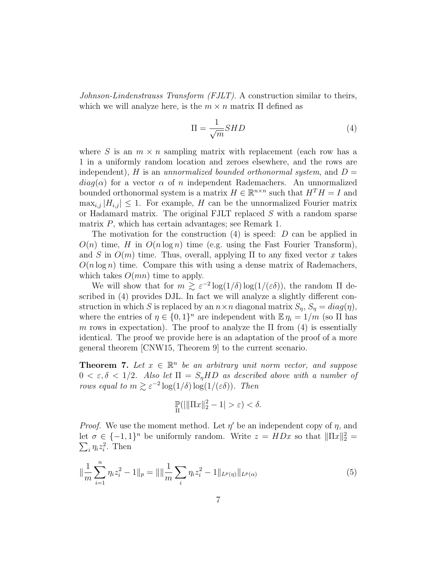Johnson-Lindenstrauss Transform (FJLT). A construction similar to theirs, which we will analyze here, is the  $m \times n$  matrix  $\Pi$  defined as

$$
\Pi = \frac{1}{\sqrt{m}} SHD \tag{4}
$$

where S is an  $m \times n$  sampling matrix with replacement (each row has a 1 in a uniformly random location and zeroes elsewhere, and the rows are independent), H is an unnormalized bounded orthonormal system, and  $D =$  $diag(\alpha)$  for a vector  $\alpha$  of n independent Rademachers. An unnormalized bounded orthonormal system is a matrix  $H \in \mathbb{R}^{n \times n}$  such that  $H^{T}H = I$  and  $\max_{i,j} |H_{i,j}| \leq 1$ . For example, H can be the unnormalized Fourier matrix or Hadamard matrix. The original FJLT replaced S with a random sparse matrix  $P$ , which has certain advantages; see Remark 1.

The motivation for the construction  $(4)$  is speed: D can be applied in  $O(n)$  time, H in  $O(n \log n)$  time (e.g. using the Fast Fourier Transform), and S in  $O(m)$  time. Thus, overall, applying  $\Pi$  to any fixed vector x takes  $O(n \log n)$  time. Compare this with using a dense matrix of Rademachers, which takes  $O(mn)$  time to apply.

We will show that for  $m \gtrsim \varepsilon^{-2} \log(1/\delta) \log(1/(\varepsilon \delta))$ , the random  $\Pi$  described in (4) provides DJL. In fact we will analyze a slightly different construction in which S is replaced by an  $n \times n$  diagonal matrix  $S_n$ ,  $S_n = diag(\eta)$ , where the entries of  $\eta \in \{0,1\}^n$  are independent with  $\mathbb{E} \eta_i = 1/m$  (so  $\Pi$  has m rows in expectation). The proof to analyze the  $\Pi$  from (4) is essentially identical. The proof we provide here is an adaptation of the proof of a more general theorem [CNW15, Theorem 9] to the current scenario.

**Theorem 7.** Let  $x \in \mathbb{R}^n$  be an arbitrary unit norm vector, and suppose  $0 < \varepsilon, \delta < 1/2$ . Also let  $\Pi = S_n H D$  as described above with a number of rows equal to  $m \gtrsim \varepsilon^{-2} \log(1/\delta) \log(1/(\varepsilon \delta))$ . Then

$$
\mathbb{P}_{\Pi}(|\|\Pi x\|_2^2 - 1| > \varepsilon) < \delta.
$$

*Proof.* We use the moment method. Let  $\eta'$  be an independent copy of  $\eta$ , and let  $\sigma \in \{-1,1\}^n$  be uniformly random. Write  $z = HDx$  so that  $\|\Pi x\|_2^2 =$  $\sum_i \eta_i z_i^2$ . Then

$$
\|\frac{1}{m}\sum_{i=1}^{n}\eta_{i}z_{i}^{2}-1\|_{p}=\|\|\frac{1}{m}\sum_{i}\eta_{i}z_{i}^{2}-1\|_{L^{p}(\eta)}\|_{L^{p}(\alpha)}
$$
(5)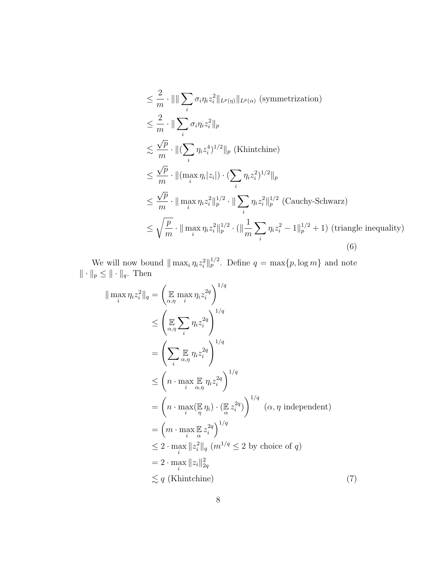$$
\leq \frac{2}{m} \cdot |||\sum_{i} \sigma_{i} \eta_{i} z_{i}^{2}||_{L^{p}(\eta)}||_{L^{p}(\alpha)} \text{ (symmetrization)}
$$
\n
$$
\leq \frac{2}{m} \cdot ||\sum_{i} \sigma_{i} \eta_{i} z_{i}^{2}||_{p}
$$
\n
$$
\leq \frac{\sqrt{p}}{m} \cdot ||(\sum_{i} \eta_{i} z_{i}^{4})^{1/2}||_{p} \text{ (Khintchine)}
$$
\n
$$
\leq \frac{\sqrt{p}}{m} \cdot ||(\max_{i} \eta_{i}|z_{i}|) \cdot (\sum_{i} \eta_{i} z_{i}^{2})^{1/2}||_{p}
$$
\n
$$
\leq \frac{\sqrt{p}}{m} \cdot ||\max_{i} \eta_{i} z_{i}^{2}||_{p}^{1/2} \cdot ||\sum_{i} \eta_{i} z_{i}^{2}||_{p}^{1/2} \text{ (Cauchy-Schwarz)}
$$
\n
$$
\leq \sqrt{\frac{p}{m}} \cdot ||\max_{i} \eta_{i} z_{i}^{2}||_{p}^{1/2} \cdot (||\frac{1}{m} \sum_{i} \eta_{i} z_{i}^{2} - 1||_{p}^{1/2} + 1) \text{ (triangle inequality)}
$$
\n(6)

We will now bound  $\|\max_i \eta_i z_i^2\|_p^{1/2}$ . Define  $q = \max\{p, \log m\}$  and note  $\|\cdot\|_p \leq \|\cdot\|_q$ . Then

$$
\|\max_{i} \eta_{i} z_{i}^{2}\|_{q} = \left(\mathbb{E} \max_{\alpha, \eta} \eta_{i} z_{i}^{2q}\right)^{1/q} \n\leq \left(\mathbb{E} \sum_{\alpha, \eta} \eta_{i} z_{i}^{2q}\right)^{1/q} \n= \left(\sum_{i} \mathbb{E} \eta_{i} z_{i}^{2q}\right)^{1/q} \n\leq \left(n \cdot \max_{i} \mathbb{E} \eta_{i} z_{i}^{2q}\right)^{1/q} \n= \left(n \cdot \max_{i} \mathbb{E} \eta_{i} \right) \cdot \left(\mathbb{E} z_{i}^{2q}\right)^{1/q} (\alpha, \eta \text{ independent}) \n= \left(n \cdot \max_{i} \mathbb{E} z_{i}^{2q}\right)^{1/q} \n\leq 2 \cdot \max_{i} \mathbb{E} z_{i}^{2q}\n\leq 2 \cdot \log |\zeta_{i}|^{2/q} \n\leq 2 \cdot \max_{i} \|z_{i}^{2}\|_{q} (m^{1/q} \leq 2 \text{ by choice of } q) \n= 2 \cdot \max_{i} \|z_{i}\|_{2q}^{2} \n\leq q \text{ (Khint, the)}
$$
\n(7)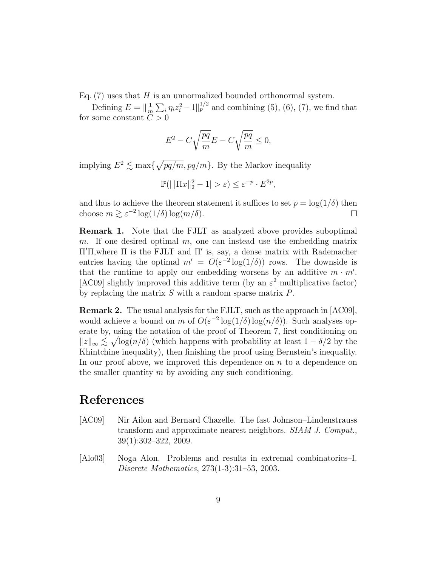Eq.  $(7)$  uses that H is an unnormalized bounded orthonormal system.

Defining  $E = \frac{1}{n}$  $\frac{1}{m}\sum_{i} \eta_i z_i^2 - 1 \big|_{p}^{1/2}$  and combining (5), (6), (7), we find that for some constant  $C > 0$ 

$$
E^2 - C\sqrt{\frac{pq}{m}}E - C\sqrt{\frac{pq}{m}} \le 0,
$$

implying  $E^2 \lesssim \max\{\sqrt{pq/m}, pq/m\}$ . By the Markov inequality

$$
\mathbb{P}(|||\Pi x||_2^2 - 1| > \varepsilon) \le \varepsilon^{-p} \cdot E^{2p},
$$

and thus to achieve the theorem statement it suffices to set  $p = \log(1/\delta)$  then choose  $m \gtrsim \varepsilon^{-2} \log(1/\delta) \log(m/\delta)$ .  $\Box$ 

Remark 1. Note that the FJLT as analyzed above provides suboptimal m. If one desired optimal  $m$ , one can instead use the embedding matrix  $\Pi'$ Π, where  $\Pi$  is the FJLT and  $\Pi'$  is, say, a dense matrix with Rademacher entries having the optimal  $m' = O(\varepsilon^{-2} \log(1/\delta))$  rows. The downside is that the runtime to apply our embedding worsens by an additive  $m \cdot m'$ . [AC09] slightly improved this additive term (by an  $\varepsilon^2$  multiplicative factor) by replacing the matrix  $S$  with a random sparse matrix  $P$ .

Remark 2. The usual analysis for the FJLT, such as the approach in [AC09], would achieve a bound on m of  $O(\varepsilon^{-2} \log(1/\delta) \log(n/\delta))$ . Such analyses operate by, using the notation of the proof of Theorem 7, first conditioning on  $||z||_{\infty} \lesssim \sqrt{\log(n/\delta)}$  (which happens with probability at least  $1 - \delta/2$  by the Khintchine inequality), then finishing the proof using Bernstein's inequality. In our proof above, we improved this dependence on  $n$  to a dependence on the smaller quantity  $m$  by avoiding any such conditioning.

## References

- [AC09] Nir Ailon and Bernard Chazelle. The fast Johnson–Lindenstrauss transform and approximate nearest neighbors. SIAM J. Comput., 39(1):302–322, 2009.
- [Alo03] Noga Alon. Problems and results in extremal combinatorics–I. Discrete Mathematics, 273(1-3):31–53, 2003.